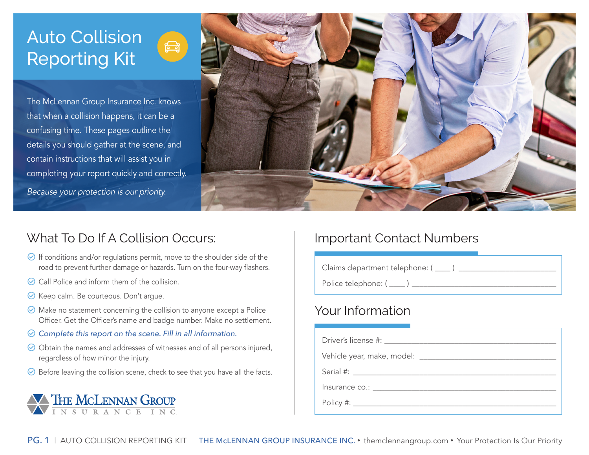# Auto Collision **Reporting Kit**

The McLennan Group Insurance Inc. knows that when a collision happens, it can be a confusing time. These pages outline the details you should gather at the scene, and contain instructions that will assist you in completing your report quickly and correctly.

Because your protection is our priority.



# What To Do If A Collision Occurs:

- $\odot$  If conditions and/or regulations permit, move to the shoulder side of the road to prevent further damage or hazards. Turn on the four-way flashers.
- $\odot$  Call Police and inform them of the collision.
- $\odot$  Keep calm. Be courteous. Don't argue.
- $\odot$  Make no statement concerning the collision to anyone except a Police Officer. Get the Officer's name and badge number. Make no settlement.
- $\odot$  Complete this report on the scene. Fill in all information.
- $\odot$  Obtain the names and addresses of witnesses and of all persons injured, regardless of how minor the injury.
- $\odot$  Before leaving the collision scene, check to see that you have all the facts.



## Important Contact Numbers

Claims department telephone: ( \_\_\_\_ ) \_\_\_\_\_\_\_\_\_\_\_\_\_\_\_\_\_\_\_\_\_\_\_\_\_ Police telephone: ( \_\_\_\_ ) \_\_\_\_\_\_\_\_\_\_\_\_\_\_\_\_\_\_\_\_\_\_\_\_\_\_\_\_\_\_\_\_\_\_\_\_\_

# Your Information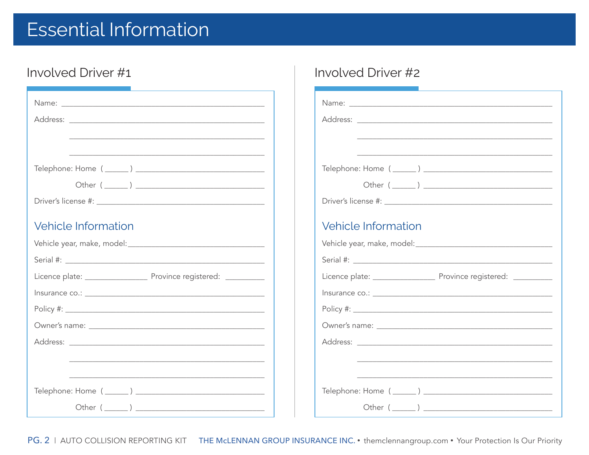# **Essential Information**

# Involved Driver #1

| <u> 1989 - Johann Barn, fransk politik (f. 1989)</u>                                                                                                                                                                           |                          |
|--------------------------------------------------------------------------------------------------------------------------------------------------------------------------------------------------------------------------------|--------------------------|
| <u> 1989 - Johann Barbara, martxa alemaniar argamento estas especial de la contrada de la contrada de la contrada</u>                                                                                                          | Telephone: Home (_       |
|                                                                                                                                                                                                                                | Other $($                |
|                                                                                                                                                                                                                                | Driver's license #: ____ |
| <b>Vehicle Information</b>                                                                                                                                                                                                     | Vehicle Informa          |
| Vehicle year, make, model: Vehicle year, make, model:                                                                                                                                                                          | Vehicle year, make, mo   |
| Serial #: Latin Communication and Communication and Communication and Communication and Communication and Communication and Communication and Communication and Communication and Communication and Communication and Communic |                          |
|                                                                                                                                                                                                                                | Licence plate: ________  |
|                                                                                                                                                                                                                                |                          |
|                                                                                                                                                                                                                                |                          |
|                                                                                                                                                                                                                                | Owner's name: _______    |
|                                                                                                                                                                                                                                |                          |
| <u> 1989 - Johann John Stoff, deutscher Stoffen und der Stoffen und der Stoffen und der Stoffen und der Stoffen un</u>                                                                                                         |                          |
|                                                                                                                                                                                                                                |                          |
|                                                                                                                                                                                                                                | Telephone: Home (_       |
| Other $($ $)$                                                                                                                                                                                                                  | Other $($                |

## Involved Driver #2

|                            | <u> 1989 - Johann Stoff, deutscher Stoff, der Stoff, der Stoff, der Stoff, der Stoff, der Stoff, der Stoff, der S</u> |
|----------------------------|-----------------------------------------------------------------------------------------------------------------------|
|                            |                                                                                                                       |
|                            |                                                                                                                       |
|                            |                                                                                                                       |
|                            |                                                                                                                       |
| <b>Vehicle Information</b> |                                                                                                                       |
|                            |                                                                                                                       |
|                            |                                                                                                                       |
|                            |                                                                                                                       |
|                            |                                                                                                                       |
|                            |                                                                                                                       |
|                            |                                                                                                                       |
|                            |                                                                                                                       |
|                            |                                                                                                                       |
|                            |                                                                                                                       |
|                            | <u> 1989 - Johann John Stoff, deutscher Stoffen und der Stoffen und der Stoffen und der Stoffen und der Stoffen u</u> |
|                            |                                                                                                                       |

PG. 2 | AUTO COLLISION REPORTING KIT THE McLENNAN GROUP INSURANCE INC. • themclennangroup.com • Your Protection Is Our Priority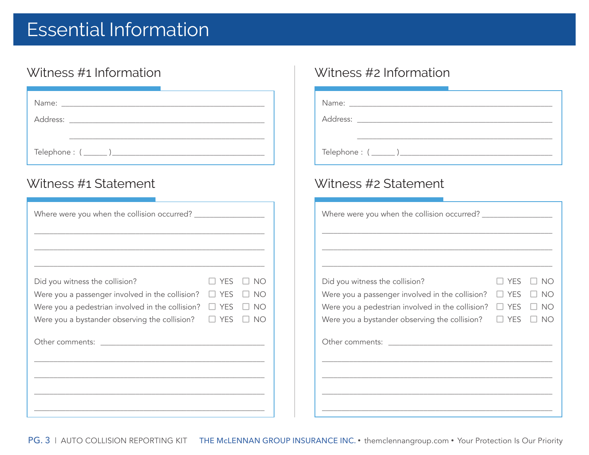# Essential Information

| Name: Namerical Service Service Service Service Service Service Service Service Service Service Service Service S |                              |  |  |
|-------------------------------------------------------------------------------------------------------------------|------------------------------|--|--|
|                                                                                                                   |                              |  |  |
|                                                                                                                   | Telephone : ( ______ ) _____ |  |  |

| Did you witness the collision?                   | $\Box$ Yes | NO.       |
|--------------------------------------------------|------------|-----------|
| Were you a passenger involved in the collision?  | $\Box$ YES | NO        |
| Were you a pedestrian involved in the collision? | $\Box$ YES | NO        |
| Were you a bystander observing the collision?    | $\Box$ YES | <b>NO</b> |
|                                                  |            |           |
|                                                  |            |           |
|                                                  |            |           |
|                                                  |            |           |
|                                                  |            |           |
|                                                  |            |           |

### Witness #1 Information Witness #2 Information

### Witness #1 Statement Witness #2 Statement

| Did you witness the collision?<br>Were you a passenger involved in the collision? $\square$ YES<br>Were you a pedestrian involved in the collision? $\square$ YES<br>Were you a bystander observing the collision? $\square$ YES $\square$ NO | ⊿ YES | $\Box$ No<br>$\Box$ No<br>$\Box$ No |
|-----------------------------------------------------------------------------------------------------------------------------------------------------------------------------------------------------------------------------------------------|-------|-------------------------------------|
|                                                                                                                                                                                                                                               |       |                                     |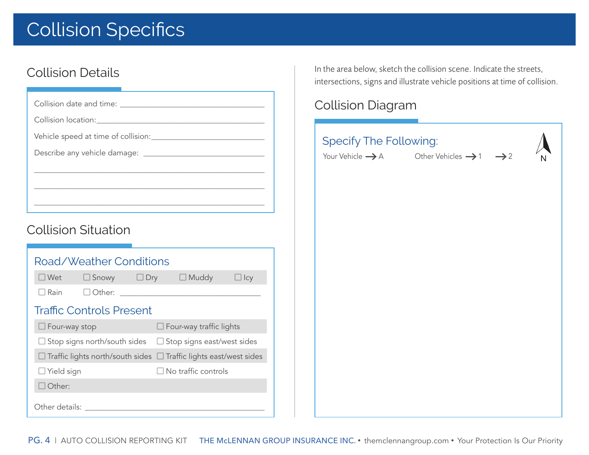# Collision Specifics

## Collision Details

Collision date and time: \_\_\_\_\_\_\_\_\_\_\_\_\_\_\_\_\_\_\_\_\_\_\_\_\_\_\_\_\_\_\_\_\_\_\_\_\_

Collision location:

Vehicle speed at time of collision:\_\_\_\_\_\_\_\_\_\_\_\_\_\_\_\_\_\_\_\_\_\_\_\_\_\_\_\_\_

Describe any vehicle damage: \_\_\_\_\_\_\_\_\_\_\_\_\_\_\_\_\_\_\_\_\_\_\_\_\_\_\_\_\_\_\_

## Collision Situation

|                         | Road/Weather Conditions                                                         |            |                                |            |
|-------------------------|---------------------------------------------------------------------------------|------------|--------------------------------|------------|
| $\Box$ Wet              | $\Box$ Snowy                                                                    | $\Box$ Dry | $\Box$ Muddy                   | $\Box$ Icy |
| $\Box$ Rain             | l   Other:                                                                      |            |                                |            |
|                         | <b>Traffic Controls Present</b>                                                 |            |                                |            |
| $\square$ Four-way stop |                                                                                 |            | $\Box$ Four-way traffic lights |            |
|                         | $\Box$ Stop signs north/south sides $\Box$ Stop signs east/west sides           |            |                                |            |
|                         | $\Box$ Traffic lights north/south sides $\ \Box$ Traffic lights east/west sides |            |                                |            |
| $\Box$ Yield sign       |                                                                                 |            | $\Box$ No traffic controls     |            |
| Other:                  |                                                                                 |            |                                |            |
| Other details:          |                                                                                 |            |                                |            |

\_\_\_\_\_\_\_\_\_\_\_\_\_\_\_\_\_\_\_\_\_\_\_\_\_\_\_\_\_\_\_\_\_\_\_\_\_\_\_\_\_\_\_\_\_\_\_\_\_\_\_\_\_\_\_\_\_\_\_

\_\_\_\_\_\_\_\_\_\_\_\_\_\_\_\_\_\_\_\_\_\_\_\_\_\_\_\_\_\_\_\_\_\_\_\_\_\_\_\_\_\_\_\_\_\_\_\_\_\_\_\_\_\_\_\_\_\_\_

In the area below, sketch the collision scene. Indicate the streets, intersections, signs and illustrate vehicle positions at time of collision.

# Collision Diagram

| <b>Specify The Following:</b><br>Your Vehicle $\rightarrow$ A Other Vehicles $\rightarrow$ 1 $\rightarrow$ 2 |  |
|--------------------------------------------------------------------------------------------------------------|--|
|                                                                                                              |  |
|                                                                                                              |  |
|                                                                                                              |  |
|                                                                                                              |  |
|                                                                                                              |  |
|                                                                                                              |  |